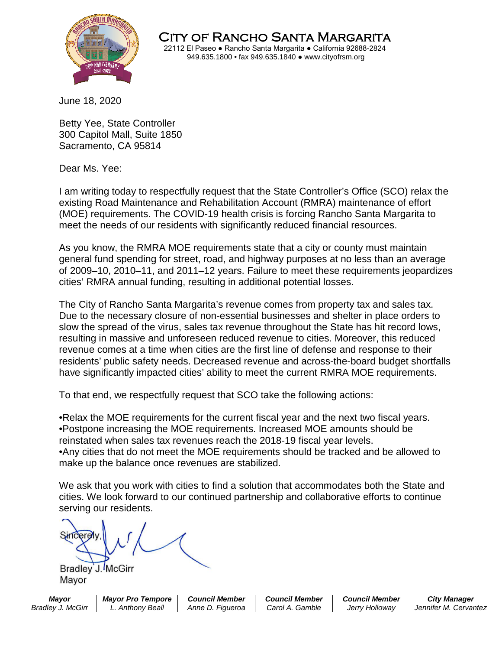

City of Rancho Santa Margarita 22112 El Paseo ● Rancho Santa Margarita ● California 92688-2824 949.635.1800 • fax 949.635.1840 ● www.cityofrsm.org

June 18, 2020

Betty Yee, State Controller 300 Capitol Mall, Suite 1850 Sacramento, CA 95814

Dear Ms. Yee:

I am writing today to respectfully request that the State Controller's Office (SCO) relax the existing Road Maintenance and Rehabilitation Account (RMRA) maintenance of effort (MOE) requirements. The COVID-19 health crisis is forcing Rancho Santa Margarita to meet the needs of our residents with significantly reduced financial resources.

As you know, the RMRA MOE requirements state that a city or county must maintain general fund spending for street, road, and highway purposes at no less than an average of 2009–10, 2010–11, and 2011–12 years. Failure to meet these requirements jeopardizes cities' RMRA annual funding, resulting in additional potential losses.

The City of Rancho Santa Margarita's revenue comes from property tax and sales tax. Due to the necessary closure of non-essential businesses and shelter in place orders to slow the spread of the virus, sales tax revenue throughout the State has hit record lows, resulting in massive and unforeseen reduced revenue to cities. Moreover, this reduced revenue comes at a time when cities are the first line of defense and response to their residents' public safety needs. Decreased revenue and across-the-board budget shortfalls have significantly impacted cities' ability to meet the current RMRA MOE requirements.

To that end, we respectfully request that SCO take the following actions:

•Relax the MOE requirements for the current fiscal year and the next two fiscal years. •Postpone increasing the MOE requirements. Increased MOE amounts should be reinstated when sales tax revenues reach the 2018-19 fiscal year levels. •Any cities that do not meet the MOE requirements should be tracked and be allowed to

make up the balance once revenues are stabilized.

We ask that you work with cities to find a solution that accommodates both the State and cities. We look forward to our continued partnership and collaborative efforts to continue serving our residents.

Bradley J. McGirr Mayor

*Mayor Mayor Pro Tempore Council Member Council Member Council Member City Manager Bradley J. McGirr L. Anthony Beall Anne D. Figueroa Carol A. Gamble Jerry Holloway Jennifer M. Cervantez*